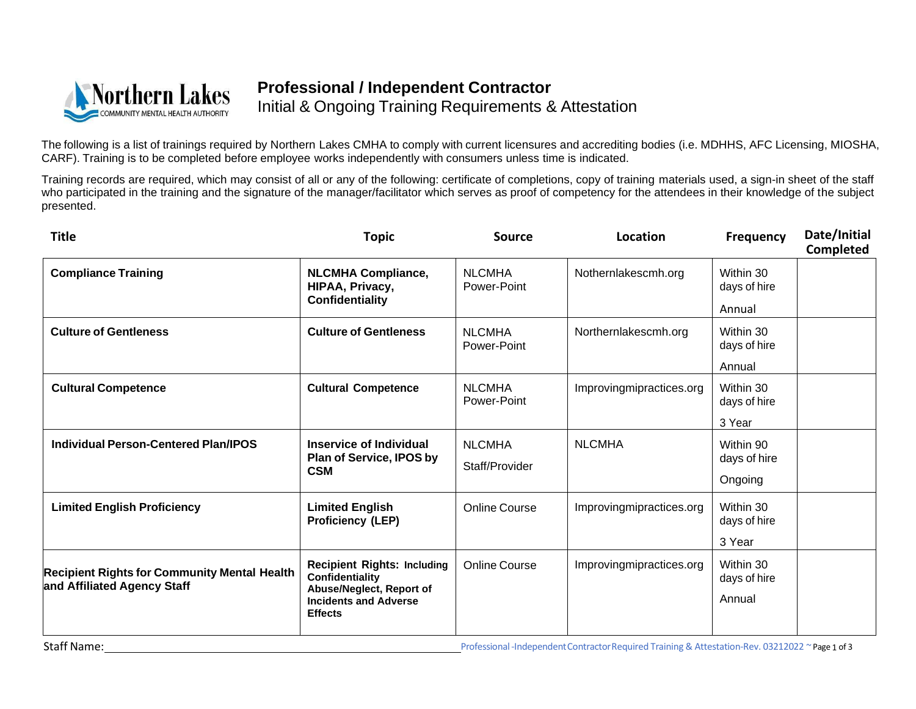

## **Professional / Independent Contractor** Initial & Ongoing Training Requirements & Attestation

The following is a list of trainings required by Northern Lakes CMHA to comply with current licensures and accrediting bodies (i.e. MDHHS, AFC Licensing, MIOSHA, CARF). Training is to be completed before employee works independently with consumers unless time is indicated.

Training records are required, which may consist of all or any of the following: certificate of completions, copy of training materials used, a sign-in sheet of the staff who participated in the training and the signature of the manager/facilitator which serves as proof of competency for the attendees in their knowledge of the subject presented.

| <b>Title</b>                                                                       | <b>Topic</b>                                                                                                                        | <b>Source</b>                   | Location                 | <b>Frequency</b>                     | Date/Initial<br>Completed |
|------------------------------------------------------------------------------------|-------------------------------------------------------------------------------------------------------------------------------------|---------------------------------|--------------------------|--------------------------------------|---------------------------|
| <b>Compliance Training</b>                                                         | <b>NLCMHA Compliance,</b><br>HIPAA, Privacy,<br><b>Confidentiality</b>                                                              | <b>NLCMHA</b><br>Power-Point    | Nothernlakescmh.org      | Within 30<br>days of hire<br>Annual  |                           |
| <b>Culture of Gentleness</b>                                                       | <b>Culture of Gentleness</b>                                                                                                        | <b>NLCMHA</b><br>Power-Point    | Northernlakescmh.org     | Within 30<br>days of hire<br>Annual  |                           |
| <b>Cultural Competence</b>                                                         | <b>Cultural Competence</b>                                                                                                          | <b>NLCMHA</b><br>Power-Point    | Improvingmipractices.org | Within 30<br>days of hire<br>3 Year  |                           |
| <b>Individual Person-Centered Plan/IPOS</b>                                        | <b>Inservice of Individual</b><br>Plan of Service, IPOS by<br><b>CSM</b>                                                            | <b>NLCMHA</b><br>Staff/Provider | <b>NLCMHA</b>            | Within 90<br>days of hire<br>Ongoing |                           |
| <b>Limited English Proficiency</b>                                                 | <b>Limited English</b><br><b>Proficiency (LEP)</b>                                                                                  | <b>Online Course</b>            | Improvingmipractices.org | Within 30<br>days of hire<br>3 Year  |                           |
| <b>Recipient Rights for Community Mental Health</b><br>and Affiliated Agency Staff | <b>Recipient Rights: Including</b><br>Confidentiality<br>Abuse/Neglect, Report of<br><b>Incidents and Adverse</b><br><b>Effects</b> | <b>Online Course</b>            | Improvingmipractices.org | Within 30<br>days of hire<br>Annual  |                           |

Staff Name: Staff Name: Staff Name: Staff Name: Staff Name: Staff Name: Staff Name: Staff Name: Staff Name: Staff Name: Staff Name: Staff Name: Staff Name: Staff Name: Staff Name: Staff Name: Staff Name: Staff Name: Staff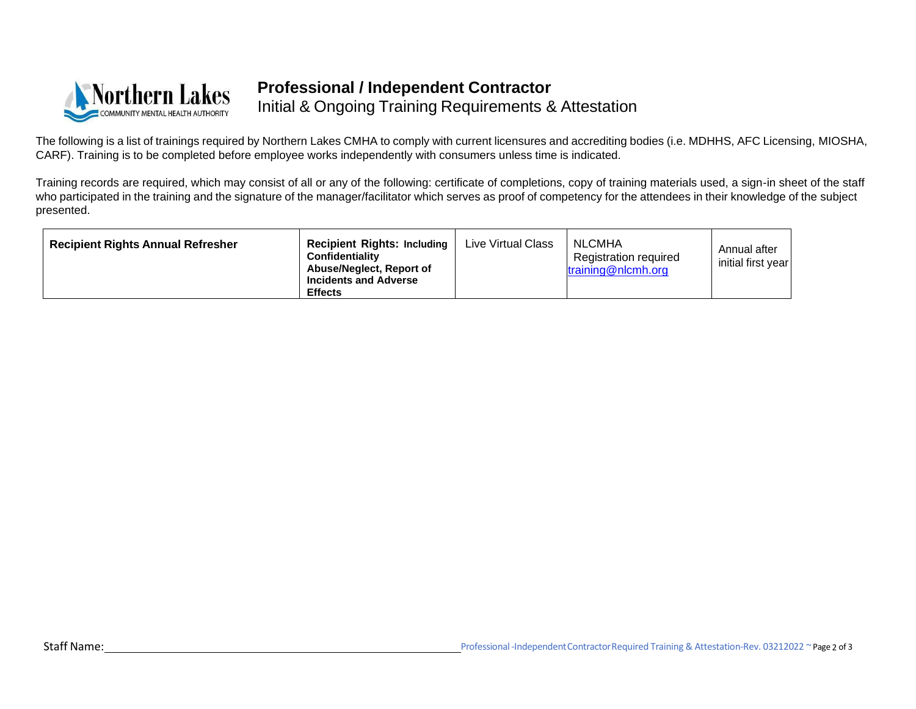

## **Professional / Independent Contractor** Initial & Ongoing Training Requirements & Attestation

The following is a list of trainings required by Northern Lakes CMHA to comply with current licensures and accrediting bodies (i.e. MDHHS, AFC Licensing, MIOSHA, CARF). Training is to be completed before employee works independently with consumers unless time is indicated.

Training records are required, which may consist of all or any of the following: certificate of completions, copy of training materials used, a sign-in sheet of the staff who participated in the training and the signature of the manager/facilitator which serves as proof of competency for the attendees in their knowledge of the subject presented.

| <b>Recipient Rights Annual Refresher</b> | <b>Recipient Rights: Including</b><br><b>Confidentiality</b><br>Abuse/Neglect, Report of<br><b>Incidents and Adverse</b><br><b>Effects</b> | Live Virtual Class | NLCMHA<br><b>Registration required</b><br>training@nlcmh.org | Annual after<br>initial first year |
|------------------------------------------|--------------------------------------------------------------------------------------------------------------------------------------------|--------------------|--------------------------------------------------------------|------------------------------------|
|------------------------------------------|--------------------------------------------------------------------------------------------------------------------------------------------|--------------------|--------------------------------------------------------------|------------------------------------|